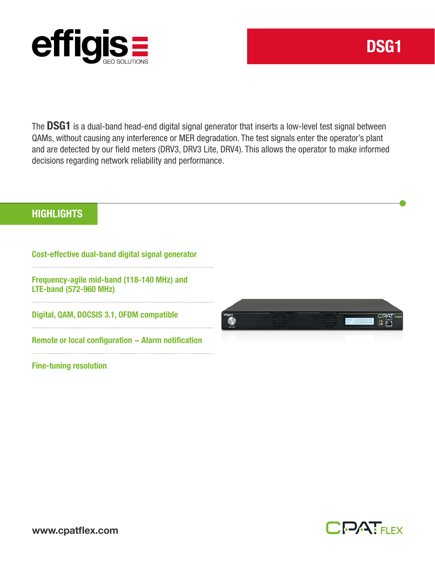

The DSG1 is a dual-band head-end digital signal generator that inserts a low-level test signal between QAMs, without causing any interference or MER degradation. The test signals enter the operator's plant and are detected by our field meters (DRV3, DRV3 Lite, DRV4). This allows the operator to make informed decisions regarding network reliability and performance.

## **HIGHLIGHTS**

Cost-effective dual-band digital signal generator

Frequency-agile mid-band (118-140 MHz) and LTE-band (572-960 MHz)

Digital, QAM, DOCSIS 3.1, OFDM compatible

Remote or local configuration – Alarm notification

Fine-tuning resolution